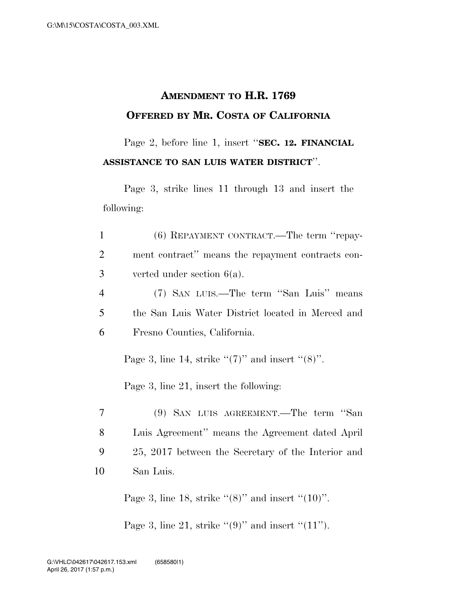## **AMENDMENT TO H.R. 1769 OFFERED BY MR. COSTA OF CALIFORNIA**

Page 2, before line 1, insert ''**SEC. 12. FINANCIAL ASSISTANCE TO SAN LUIS WATER DISTRICT**''.

Page 3, strike lines 11 through 13 and insert the following:

| $\mathbf{1}$   | (6) REPAYMENT CONTRACT.—The term "repay-                                                          |
|----------------|---------------------------------------------------------------------------------------------------|
| $\overline{2}$ | ment contract" means the repayment contracts con-                                                 |
| 3              | verted under section $6(a)$ .                                                                     |
| $\overline{4}$ | (7) SAN LUIS.—The term "San Luis" means                                                           |
| 5              | the San Luis Water District located in Merced and                                                 |
| 6              | Fresno Counties, California.                                                                      |
|                | Page 3, line 14, strike " $(7)$ " and insert " $(8)$ ".<br>Page 3, line 21, insert the following: |
| $\overline{7}$ | (9) SAN LUIS AGREEMENT.—The term "San                                                             |
| 8              | Luis Agreement" means the Agreement dated April                                                   |
| 9              | 25, 2017 between the Secretary of the Interior and                                                |
| 10             | San Luis.                                                                                         |
|                |                                                                                                   |

Page 3, line 18, strike " $(8)$ " and insert " $(10)$ ".

Page 3, line 21, strike " $(9)$ " and insert " $(11")$ .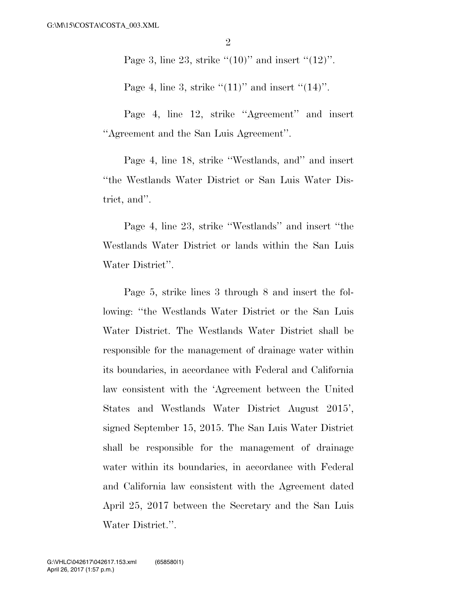Page 3, line 23, strike  $\lq(10)$ " and insert  $\lq(12)$ ".

Page 4, line 3, strike  $((11)$ " and insert  $((14)$ ".

Page 4, line 12, strike ''Agreement'' and insert ''Agreement and the San Luis Agreement''.

Page 4, line 18, strike ''Westlands, and'' and insert ''the Westlands Water District or San Luis Water District, and''.

Page 4, line 23, strike ''Westlands'' and insert ''the Westlands Water District or lands within the San Luis Water District''.

Page 5, strike lines 3 through 8 and insert the following: ''the Westlands Water District or the San Luis Water District. The Westlands Water District shall be responsible for the management of drainage water within its boundaries, in accordance with Federal and California law consistent with the 'Agreement between the United States and Westlands Water District August 2015', signed September 15, 2015. The San Luis Water District shall be responsible for the management of drainage water within its boundaries, in accordance with Federal and California law consistent with the Agreement dated April 25, 2017 between the Secretary and the San Luis Water District.''.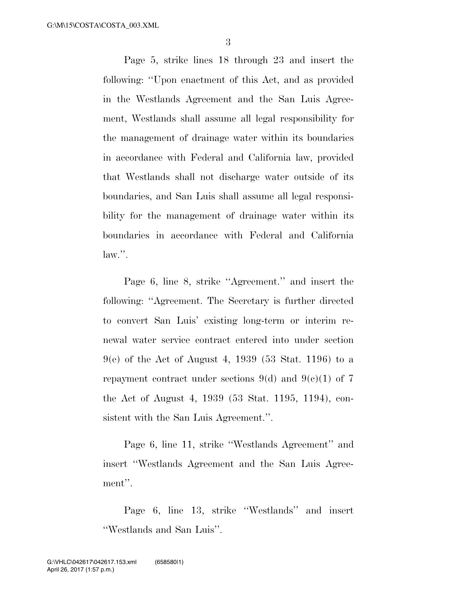Page 5, strike lines 18 through 23 and insert the following: ''Upon enactment of this Act, and as provided in the Westlands Agreement and the San Luis Agreement, Westlands shall assume all legal responsibility for the management of drainage water within its boundaries in accordance with Federal and California law, provided that Westlands shall not discharge water outside of its boundaries, and San Luis shall assume all legal responsibility for the management of drainage water within its boundaries in accordance with Federal and California law.''.

Page 6, line 8, strike ''Agreement.'' and insert the following: ''Agreement. The Secretary is further directed to convert San Luis' existing long-term or interim renewal water service contract entered into under section 9(e) of the Act of August 4, 1939 (53 Stat. 1196) to a repayment contract under sections 9(d) and 9(c)(1) of 7 the Act of August 4, 1939 (53 Stat. 1195, 1194), consistent with the San Luis Agreement.''.

Page 6, line 11, strike ''Westlands Agreement'' and insert ''Westlands Agreement and the San Luis Agreement''.

Page 6, line 13, strike ''Westlands'' and insert ''Westlands and San Luis''.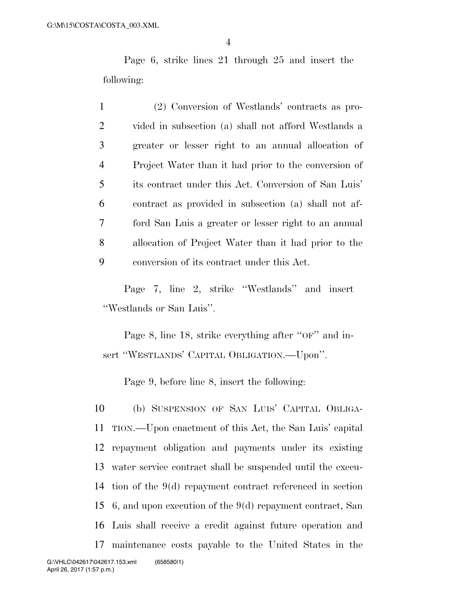Page 6, strike lines 21 through 25 and insert the following:

 (2) Conversion of Westlands' contracts as pro- vided in subsection (a) shall not afford Westlands a greater or lesser right to an annual allocation of Project Water than it had prior to the conversion of its contract under this Act. Conversion of San Luis' contract as provided in subsection (a) shall not af- ford San Luis a greater or lesser right to an annual allocation of Project Water than it had prior to the conversion of its contract under this Act.

Page 7, line 2, strike ''Westlands'' and insert ''Westlands or San Luis''.

Page 8, line 18, strike everything after "OF" and insert ''WESTLANDS' CAPITAL OBLIGATION.—Upon''.

Page 9, before line 8, insert the following:

 (b) SUSPENSION OF SAN LUIS' CAPITAL OBLIGA- TION.—Upon enactment of this Act, the San Luis' capital repayment obligation and payments under its existing water service contract shall be suspended until the execu- tion of the 9(d) repayment contract referenced in section 6, and upon execution of the 9(d) repayment contract, San Luis shall receive a credit against future operation and maintenance costs payable to the United States in the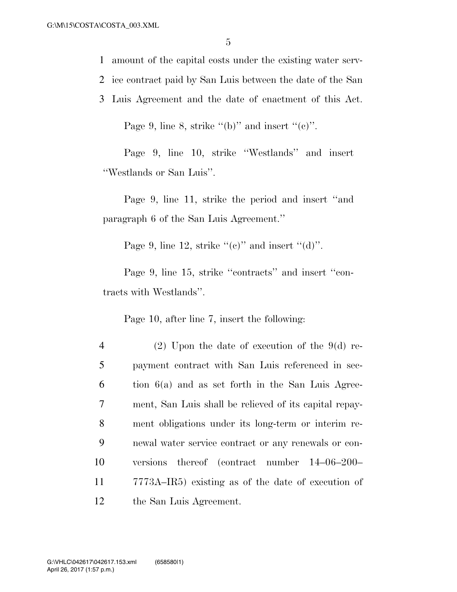1 amount of the capital costs under the existing water serv-

- 2 ice contract paid by San Luis between the date of the San
- 3 Luis Agreement and the date of enactment of this Act.

Page 9, line 8, strike "(b)" and insert " $(e)$ ".

Page 9, line 10, strike ''Westlands'' and insert ''Westlands or San Luis''.

Page 9, line 11, strike the period and insert ''and paragraph 6 of the San Luis Agreement.''

Page 9, line 12, strike " $(e)$ " and insert " $(d)$ ".

Page 9, line 15, strike "contracts" and insert "contracts with Westlands''.

Page 10, after line 7, insert the following:

 (2) Upon the date of execution of the 9(d) re- payment contract with San Luis referenced in sec- tion  $6(a)$  and as set forth in the San Luis Agree- ment, San Luis shall be relieved of its capital repay- ment obligations under its long-term or interim re- newal water service contract or any renewals or con- versions thereof (contract number 14–06–200– 7773A–IR5) existing as of the date of execution of the San Luis Agreement.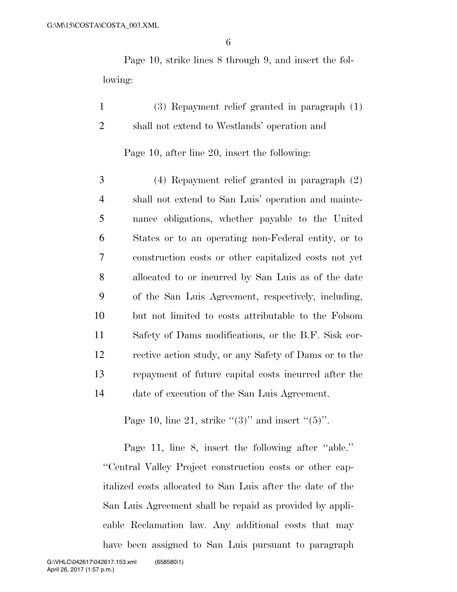Page 10, strike lines 8 through 9, and insert the following:

1 (3) Repayment relief granted in paragraph (1) 2 shall not extend to Westlands' operation and

Page 10, after line 20, insert the following:

 (4) Repayment relief granted in paragraph (2) shall not extend to San Luis' operation and mainte- nance obligations, whether payable to the United States or to an operating non-Federal entity, or to construction costs or other capitalized costs not yet allocated to or incurred by San Luis as of the date of the San Luis Agreement, respectively, including, but not limited to costs attributable to the Folsom Safety of Dams modifications, or the B.F. Sisk cor- rective action study, or any Safety of Dams or to the repayment of future capital costs incurred after the date of execution of the San Luis Agreement.

Page 10, line 21, strike " $(3)$ " and insert " $(5)$ ".

Page 11, line 8, insert the following after ''able.'' ''Central Valley Project construction costs or other capitalized costs allocated to San Luis after the date of the San Luis Agreement shall be repaid as provided by applicable Reclamation law. Any additional costs that may have been assigned to San Luis pursuant to paragraph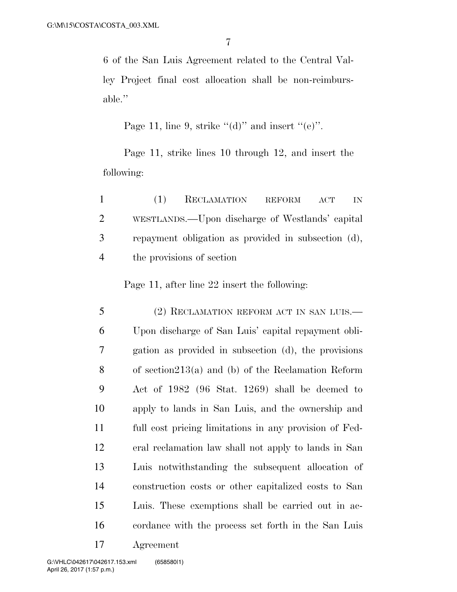6 of the San Luis Agreement related to the Central Valley Project final cost allocation shall be non-reimbursable.''

Page 11, line 9, strike " $(d)$ " and insert " $(e)$ ".

Page 11, strike lines 10 through 12, and insert the following:

| $\mathbf{1}$   | (1) | RECLAMATION REFORM ACT                              |  | - IN- |
|----------------|-----|-----------------------------------------------------|--|-------|
| 2              |     | WESTLANDS.—Upon discharge of Westlands' capital     |  |       |
| 3 <sup>7</sup> |     | repayment obligation as provided in subsection (d), |  |       |
| $\overline{4}$ |     | the provisions of section                           |  |       |

Page 11, after line 22 insert the following:

 (2) RECLAMATION REFORM ACT IN SAN LUIS.— Upon discharge of San Luis' capital repayment obli- gation as provided in subsection (d), the provisions of section213(a) and (b) of the Reclamation Reform Act of 1982 (96 Stat. 1269) shall be deemed to apply to lands in San Luis, and the ownership and full cost pricing limitations in any provision of Fed- eral reclamation law shall not apply to lands in San Luis notwithstanding the subsequent allocation of construction costs or other capitalized costs to San Luis. These exemptions shall be carried out in ac- cordance with the process set forth in the San Luis Agreement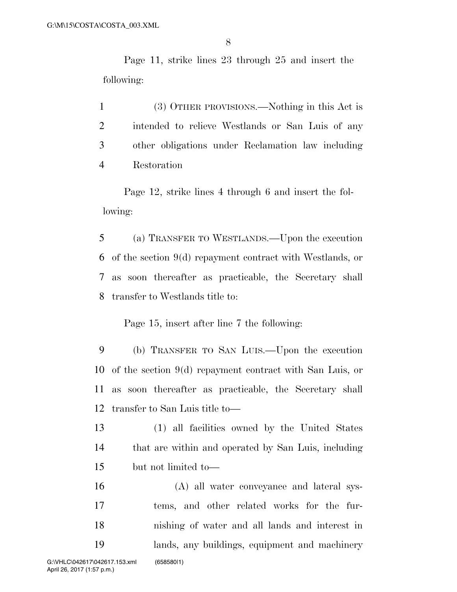Page 11, strike lines 23 through 25 and insert the following:

 (3) OTHER PROVISIONS.—Nothing in this Act is intended to relieve Westlands or San Luis of any other obligations under Reclamation law including Restoration

Page 12, strike lines 4 through 6 and insert the following:

 (a) TRANSFER TO WESTLANDS.—Upon the execution of the section 9(d) repayment contract with Westlands, or as soon thereafter as practicable, the Secretary shall transfer to Westlands title to:

Page 15, insert after line 7 the following:

 (b) TRANSFER TO SAN LUIS.—Upon the execution of the section 9(d) repayment contract with San Luis, or as soon thereafter as practicable, the Secretary shall transfer to San Luis title to—

 (1) all facilities owned by the United States that are within and operated by San Luis, including but not limited to—

 (A) all water conveyance and lateral sys- tems, and other related works for the fur- nishing of water and all lands and interest in lands, any buildings, equipment and machinery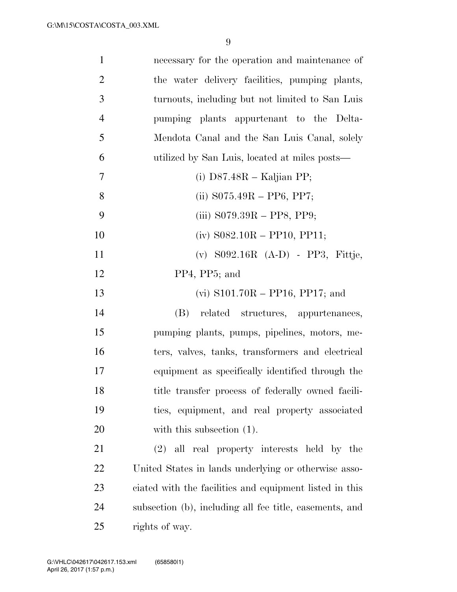| $\mathbf{1}$   | necessary for the operation and maintenance of          |
|----------------|---------------------------------------------------------|
| $\overline{2}$ | the water delivery facilities, pumping plants,          |
| 3              | turnouts, including but not limited to San Luis         |
| $\overline{4}$ | pumping plants appurtenant to the Delta-                |
| 5              | Mendota Canal and the San Luis Canal, solely            |
| 6              | utilized by San Luis, located at miles posts—           |
| 7              | (i) $D87.48R -$ Kaljian PP;                             |
| 8              | (ii) $S075.49R - PP6$ , PP7;                            |
| 9              | (iii) $S079.39R - PPS$ , PP9;                           |
| 10             | $(iv)$ S082.10R – PP10, PP11;                           |
| 11             | $(v)$ S092.16R $(A-D)$ - PP3, Fittje,                   |
| 12             | PP4, PP5; and                                           |
| 13             | (vi) $S101.70R - PP16$ , PP17; and                      |
| 14             | related structures, appurtenances,<br>(B)               |
| 15             | pumping plants, pumps, pipelines, motors, me-           |
| 16             | ters, valves, tanks, transformers and electrical        |
| 17             | equipment as specifically identified through the        |
| 18             | title transfer process of federally owned facili-       |
| 19             | ties, equipment, and real property associated           |
| 20             | with this subsection $(1)$ .                            |
| 21             | (2) all real property interests held by the             |
| 22             | United States in lands underlying or otherwise asso-    |
| 23             | ciated with the facilities and equipment listed in this |
| 24             | subsection (b), including all fee title, easements, and |
| 25             | rights of way.                                          |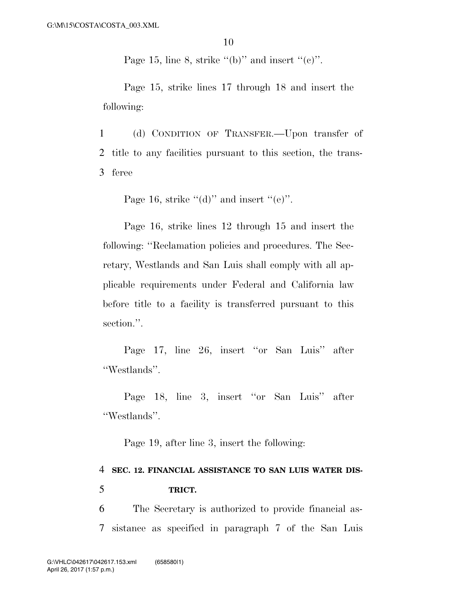Page 15, line 8, strike  $(6)$ " and insert  $(6)$ ".

Page 15, strike lines 17 through 18 and insert the following:

1 (d) CONDITION OF TRANSFER.—Upon transfer of 2 title to any facilities pursuant to this section, the trans-3 feree

Page 16, strike " $(d)$ " and insert " $(e)$ ".

Page 16, strike lines 12 through 15 and insert the following: ''Reclamation policies and procedures. The Secretary, Westlands and San Luis shall comply with all applicable requirements under Federal and California law before title to a facility is transferred pursuant to this section.".

Page 17, line 26, insert ''or San Luis'' after ''Westlands''.

Page 18, line 3, insert ''or San Luis'' after ''Westlands''.

Page 19, after line 3, insert the following:

## 4 **SEC. 12. FINANCIAL ASSISTANCE TO SAN LUIS WATER DIS-**5 **TRICT.**

6 The Secretary is authorized to provide financial as-7 sistance as specified in paragraph 7 of the San Luis